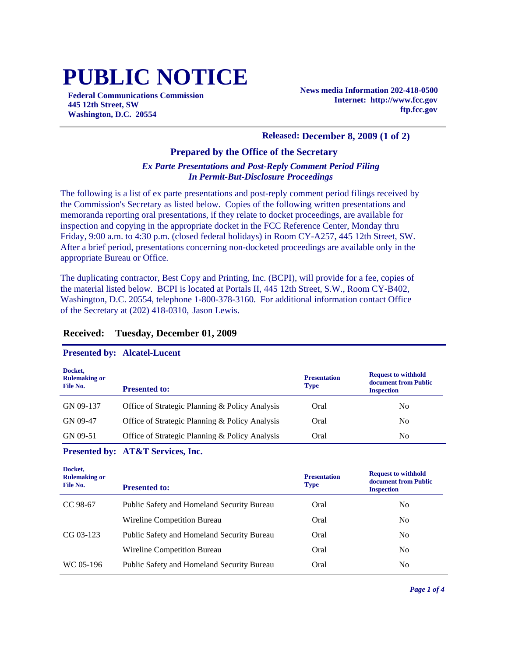# **PUBLIC NOTICE**

**Federal Communications Commission 445 12th Street, SW Washington, D.C. 20554**

**News media Information 202-418-0500 Internet: http://www.fcc.gov ftp.fcc.gov**

#### **Released: December 8, 2009 (1 of 2)**

### **Prepared by the Office of the Secretary**

#### *Ex Parte Presentations and Post-Reply Comment Period Filing In Permit-But-Disclosure Proceedings*

The following is a list of ex parte presentations and post-reply comment period filings received by the Commission's Secretary as listed below. Copies of the following written presentations and memoranda reporting oral presentations, if they relate to docket proceedings, are available for inspection and copying in the appropriate docket in the FCC Reference Center, Monday thru Friday, 9:00 a.m. to 4:30 p.m. (closed federal holidays) in Room CY-A257, 445 12th Street, SW. After a brief period, presentations concerning non-docketed proceedings are available only in the appropriate Bureau or Office.

The duplicating contractor, Best Copy and Printing, Inc. (BCPI), will provide for a fee, copies of the material listed below. BCPI is located at Portals II, 445 12th Street, S.W., Room CY-B402, Washington, D.C. 20554, telephone 1-800-378-3160. For additional information contact Office of the Secretary at (202) 418-0310, Jason Lewis.

#### **Received: Tuesday, December 01, 2009**

#### **Presented by: Alcatel-Lucent**

| Docket,<br><b>Rulemaking or</b><br>File No. | <b>Presented to:</b>                           | <b>Presentation</b><br><b>Type</b> | <b>Request to withhold</b><br>document from Public<br><b>Inspection</b> |
|---------------------------------------------|------------------------------------------------|------------------------------------|-------------------------------------------------------------------------|
| GN 09-137                                   | Office of Strategic Planning & Policy Analysis | Oral                               | No                                                                      |
| GN 09-47                                    | Office of Strategic Planning & Policy Analysis | Oral                               | No                                                                      |
| GN 09-51                                    | Office of Strategic Planning & Policy Analysis | Oral                               | No                                                                      |

#### **Presented by: AT&T Services, Inc.**

| <b>Presented to:</b>                              | <b>Presentation</b><br><b>Type</b> | <b>Request to withhold</b><br>document from Public<br><b>Inspection</b> |
|---------------------------------------------------|------------------------------------|-------------------------------------------------------------------------|
| Public Safety and Homeland Security Bureau        | Oral                               | No                                                                      |
| Wireline Competition Bureau                       | Oral                               | No.                                                                     |
| <b>Public Safety and Homeland Security Bureau</b> | Oral                               | No                                                                      |
| Wireline Competition Bureau                       | Oral                               | N <sub>0</sub>                                                          |
| Public Safety and Homeland Security Bureau        | Oral                               | No                                                                      |
|                                                   |                                    |                                                                         |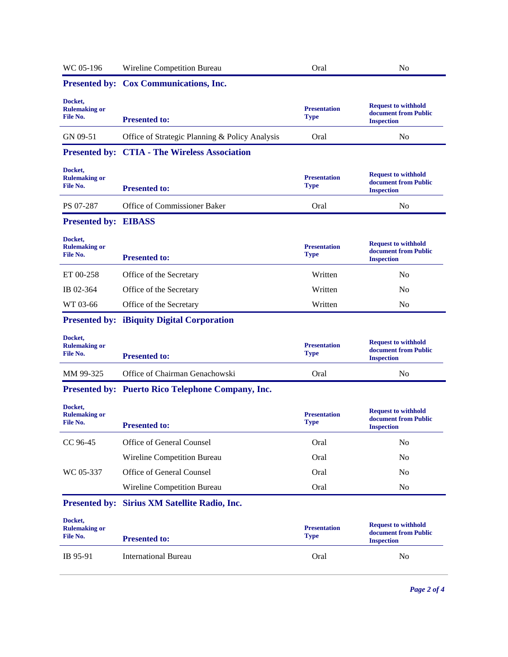| Presented by: Cox Communications, Inc.<br><b>Request to withhold</b><br><b>Presentation</b><br>document from Public<br><b>Type</b><br><b>Presented to:</b><br><b>Inspection</b><br>Office of Strategic Planning & Policy Analysis<br>Oral<br>N <sub>0</sub><br><b>Presented by: CTIA - The Wireless Association</b><br><b>Request to withhold</b><br><b>Presentation</b><br>document from Public<br><b>Type</b><br><b>Presented to:</b><br><b>Inspection</b><br>Office of Commissioner Baker<br>Oral<br>No<br><b>Presented by: EIBASS</b><br><b>Request to withhold</b><br><b>Presentation</b><br>document from Public<br><b>Type</b><br><b>Presented to:</b><br><b>Inspection</b><br>Written<br>Office of the Secretary<br>No<br>Written<br>Office of the Secretary<br>No<br>Written<br>Office of the Secretary<br>No<br><b>Presented by: iBiquity Digital Corporation</b><br><b>Request to withhold</b><br><b>Presentation</b><br>document from Public<br><b>Type</b><br><b>Presented to:</b><br><b>Inspection</b><br>Office of Chairman Genachowski<br>Oral<br>N <sub>0</sub><br>Presented by: Puerto Rico Telephone Company, Inc.<br><b>Request to withhold</b><br><b>Presentation</b><br>document from Public<br><b>Type</b><br><b>Presented to:</b><br><b>Inspection</b><br>Office of General Counsel<br>Oral<br>N <sub>0</sub><br>Oral<br>Wireline Competition Bureau<br>N <sub>0</sub><br>Office of General Counsel<br>Oral<br>N <sub>0</sub><br>Oral<br>Wireline Competition Bureau<br>No<br>Presented by: Sirius XM Satellite Radio, Inc.<br><b>Request to withhold</b><br><b>Presentation</b><br>document from Public<br><b>Type</b><br><b>Presented to:</b><br><b>Inspection</b><br><b>International Bureau</b><br>Oral<br>N <sub>0</sub> | WC 05-196                                   | Wireline Competition Bureau | Oral | N <sub>0</sub> |
|-------------------------------------------------------------------------------------------------------------------------------------------------------------------------------------------------------------------------------------------------------------------------------------------------------------------------------------------------------------------------------------------------------------------------------------------------------------------------------------------------------------------------------------------------------------------------------------------------------------------------------------------------------------------------------------------------------------------------------------------------------------------------------------------------------------------------------------------------------------------------------------------------------------------------------------------------------------------------------------------------------------------------------------------------------------------------------------------------------------------------------------------------------------------------------------------------------------------------------------------------------------------------------------------------------------------------------------------------------------------------------------------------------------------------------------------------------------------------------------------------------------------------------------------------------------------------------------------------------------------------------------------------------------------------------------------------------------------------------------------------------|---------------------------------------------|-----------------------------|------|----------------|
|                                                                                                                                                                                                                                                                                                                                                                                                                                                                                                                                                                                                                                                                                                                                                                                                                                                                                                                                                                                                                                                                                                                                                                                                                                                                                                                                                                                                                                                                                                                                                                                                                                                                                                                                                       |                                             |                             |      |                |
|                                                                                                                                                                                                                                                                                                                                                                                                                                                                                                                                                                                                                                                                                                                                                                                                                                                                                                                                                                                                                                                                                                                                                                                                                                                                                                                                                                                                                                                                                                                                                                                                                                                                                                                                                       | Docket,<br><b>Rulemaking or</b><br>File No. |                             |      |                |
|                                                                                                                                                                                                                                                                                                                                                                                                                                                                                                                                                                                                                                                                                                                                                                                                                                                                                                                                                                                                                                                                                                                                                                                                                                                                                                                                                                                                                                                                                                                                                                                                                                                                                                                                                       | GN 09-51                                    |                             |      |                |
|                                                                                                                                                                                                                                                                                                                                                                                                                                                                                                                                                                                                                                                                                                                                                                                                                                                                                                                                                                                                                                                                                                                                                                                                                                                                                                                                                                                                                                                                                                                                                                                                                                                                                                                                                       |                                             |                             |      |                |
|                                                                                                                                                                                                                                                                                                                                                                                                                                                                                                                                                                                                                                                                                                                                                                                                                                                                                                                                                                                                                                                                                                                                                                                                                                                                                                                                                                                                                                                                                                                                                                                                                                                                                                                                                       | Docket,<br><b>Rulemaking or</b><br>File No. |                             |      |                |
|                                                                                                                                                                                                                                                                                                                                                                                                                                                                                                                                                                                                                                                                                                                                                                                                                                                                                                                                                                                                                                                                                                                                                                                                                                                                                                                                                                                                                                                                                                                                                                                                                                                                                                                                                       | PS 07-287                                   |                             |      |                |
|                                                                                                                                                                                                                                                                                                                                                                                                                                                                                                                                                                                                                                                                                                                                                                                                                                                                                                                                                                                                                                                                                                                                                                                                                                                                                                                                                                                                                                                                                                                                                                                                                                                                                                                                                       |                                             |                             |      |                |
|                                                                                                                                                                                                                                                                                                                                                                                                                                                                                                                                                                                                                                                                                                                                                                                                                                                                                                                                                                                                                                                                                                                                                                                                                                                                                                                                                                                                                                                                                                                                                                                                                                                                                                                                                       | Docket,<br><b>Rulemaking or</b><br>File No. |                             |      |                |
|                                                                                                                                                                                                                                                                                                                                                                                                                                                                                                                                                                                                                                                                                                                                                                                                                                                                                                                                                                                                                                                                                                                                                                                                                                                                                                                                                                                                                                                                                                                                                                                                                                                                                                                                                       | ET 00-258                                   |                             |      |                |
|                                                                                                                                                                                                                                                                                                                                                                                                                                                                                                                                                                                                                                                                                                                                                                                                                                                                                                                                                                                                                                                                                                                                                                                                                                                                                                                                                                                                                                                                                                                                                                                                                                                                                                                                                       | IB 02-364                                   |                             |      |                |
|                                                                                                                                                                                                                                                                                                                                                                                                                                                                                                                                                                                                                                                                                                                                                                                                                                                                                                                                                                                                                                                                                                                                                                                                                                                                                                                                                                                                                                                                                                                                                                                                                                                                                                                                                       | WT 03-66                                    |                             |      |                |
|                                                                                                                                                                                                                                                                                                                                                                                                                                                                                                                                                                                                                                                                                                                                                                                                                                                                                                                                                                                                                                                                                                                                                                                                                                                                                                                                                                                                                                                                                                                                                                                                                                                                                                                                                       |                                             |                             |      |                |
|                                                                                                                                                                                                                                                                                                                                                                                                                                                                                                                                                                                                                                                                                                                                                                                                                                                                                                                                                                                                                                                                                                                                                                                                                                                                                                                                                                                                                                                                                                                                                                                                                                                                                                                                                       | Docket,<br><b>Rulemaking or</b><br>File No. |                             |      |                |
|                                                                                                                                                                                                                                                                                                                                                                                                                                                                                                                                                                                                                                                                                                                                                                                                                                                                                                                                                                                                                                                                                                                                                                                                                                                                                                                                                                                                                                                                                                                                                                                                                                                                                                                                                       | MM 99-325                                   |                             |      |                |
|                                                                                                                                                                                                                                                                                                                                                                                                                                                                                                                                                                                                                                                                                                                                                                                                                                                                                                                                                                                                                                                                                                                                                                                                                                                                                                                                                                                                                                                                                                                                                                                                                                                                                                                                                       |                                             |                             |      |                |
|                                                                                                                                                                                                                                                                                                                                                                                                                                                                                                                                                                                                                                                                                                                                                                                                                                                                                                                                                                                                                                                                                                                                                                                                                                                                                                                                                                                                                                                                                                                                                                                                                                                                                                                                                       | Docket,<br><b>Rulemaking or</b><br>File No. |                             |      |                |
|                                                                                                                                                                                                                                                                                                                                                                                                                                                                                                                                                                                                                                                                                                                                                                                                                                                                                                                                                                                                                                                                                                                                                                                                                                                                                                                                                                                                                                                                                                                                                                                                                                                                                                                                                       | CC 96-45                                    |                             |      |                |
|                                                                                                                                                                                                                                                                                                                                                                                                                                                                                                                                                                                                                                                                                                                                                                                                                                                                                                                                                                                                                                                                                                                                                                                                                                                                                                                                                                                                                                                                                                                                                                                                                                                                                                                                                       |                                             |                             |      |                |
|                                                                                                                                                                                                                                                                                                                                                                                                                                                                                                                                                                                                                                                                                                                                                                                                                                                                                                                                                                                                                                                                                                                                                                                                                                                                                                                                                                                                                                                                                                                                                                                                                                                                                                                                                       | WC 05-337                                   |                             |      |                |
|                                                                                                                                                                                                                                                                                                                                                                                                                                                                                                                                                                                                                                                                                                                                                                                                                                                                                                                                                                                                                                                                                                                                                                                                                                                                                                                                                                                                                                                                                                                                                                                                                                                                                                                                                       |                                             |                             |      |                |
|                                                                                                                                                                                                                                                                                                                                                                                                                                                                                                                                                                                                                                                                                                                                                                                                                                                                                                                                                                                                                                                                                                                                                                                                                                                                                                                                                                                                                                                                                                                                                                                                                                                                                                                                                       |                                             |                             |      |                |
|                                                                                                                                                                                                                                                                                                                                                                                                                                                                                                                                                                                                                                                                                                                                                                                                                                                                                                                                                                                                                                                                                                                                                                                                                                                                                                                                                                                                                                                                                                                                                                                                                                                                                                                                                       | Docket,<br><b>Rulemaking or</b><br>File No. |                             |      |                |
|                                                                                                                                                                                                                                                                                                                                                                                                                                                                                                                                                                                                                                                                                                                                                                                                                                                                                                                                                                                                                                                                                                                                                                                                                                                                                                                                                                                                                                                                                                                                                                                                                                                                                                                                                       | IB 95-91                                    |                             |      |                |